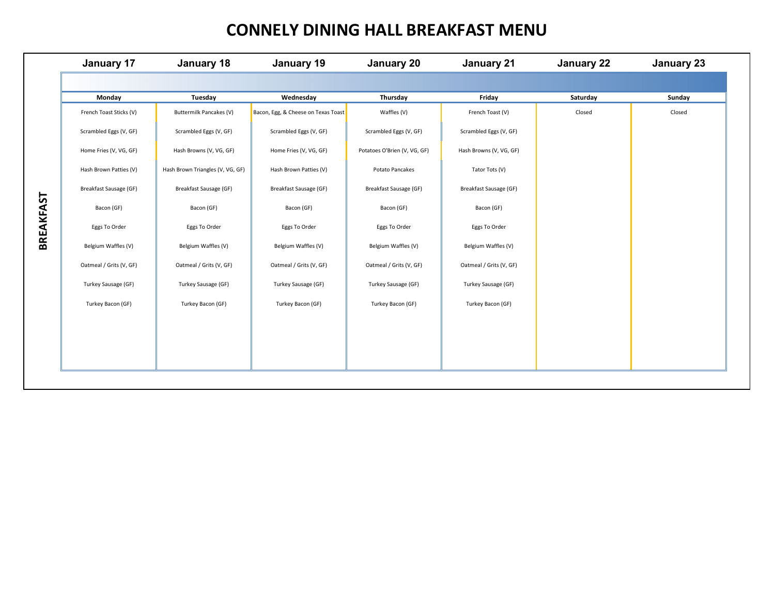## **CONNELY DINING HALL BREAKFAST MENU**

|           | January 17              | January 18                       | January 19                          | January 20                   | January 21              | January 22 | January 23 |
|-----------|-------------------------|----------------------------------|-------------------------------------|------------------------------|-------------------------|------------|------------|
|           |                         |                                  |                                     |                              |                         |            |            |
|           | Monday                  | Tuesday                          | Wednesday                           | Thursday                     | Friday                  | Saturday   | Sunday     |
|           | French Toast Sticks (V) | Buttermilk Pancakes (V)          | Bacon, Egg, & Cheese on Texas Toast | Waffles (V)                  | French Toast (V)        | Closed     | Closed     |
|           | Scrambled Eggs (V, GF)  | Scrambled Eggs (V, GF)           | Scrambled Eggs (V, GF)              | Scrambled Eggs (V, GF)       | Scrambled Eggs (V, GF)  |            |            |
|           | Home Fries (V, VG, GF)  | Hash Browns (V, VG, GF)          | Home Fries (V, VG, GF)              | Potatoes O'Brien (V, VG, GF) | Hash Browns (V, VG, GF) |            |            |
|           | Hash Brown Patties (V)  | Hash Brown Triangles (V, VG, GF) | Hash Brown Patties (V)              | Potato Pancakes              | Tator Tots (V)          |            |            |
|           | Breakfast Sausage (GF)  | Breakfast Sausage (GF)           | Breakfast Sausage (GF)              | Breakfast Sausage (GF)       | Breakfast Sausage (GF)  |            |            |
|           | Bacon (GF)              | Bacon (GF)                       | Bacon (GF)                          | Bacon (GF)                   | Bacon (GF)              |            |            |
|           | Eggs To Order           | Eggs To Order                    | Eggs To Order                       | Eggs To Order                | Eggs To Order           |            |            |
| BREAKFAST | Belgium Waffles (V)     | Belgium Waffles (V)              | Belgium Waffles (V)                 | Belgium Waffles (V)          | Belgium Waffles (V)     |            |            |
|           | Oatmeal / Grits (V, GF) | Oatmeal / Grits (V, GF)          | Oatmeal / Grits (V, GF)             | Oatmeal / Grits (V, GF)      | Oatmeal / Grits (V, GF) |            |            |
|           | Turkey Sausage (GF)     | Turkey Sausage (GF)              | Turkey Sausage (GF)                 | Turkey Sausage (GF)          | Turkey Sausage (GF)     |            |            |
|           | Turkey Bacon (GF)       | Turkey Bacon (GF)                | Turkey Bacon (GF)                   | Turkey Bacon (GF)            | Turkey Bacon (GF)       |            |            |
|           |                         |                                  |                                     |                              |                         |            |            |
|           |                         |                                  |                                     |                              |                         |            |            |
|           |                         |                                  |                                     |                              |                         |            |            |
|           |                         |                                  |                                     |                              |                         |            |            |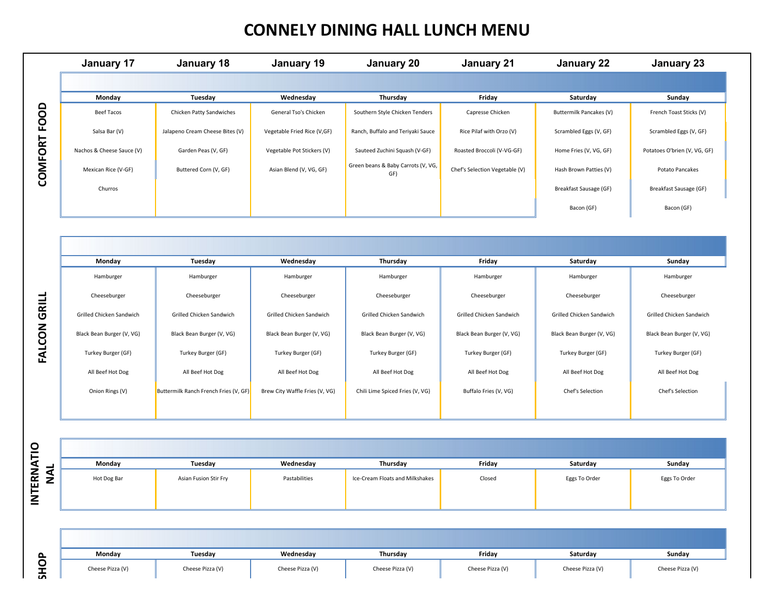# **CONNELY DINING HALL LUNCH MENU**

|              | <b>January 17</b>         | January 18                            | January 19                     | January 20                                | January 21                     | January 22                | <b>January 23</b>            |
|--------------|---------------------------|---------------------------------------|--------------------------------|-------------------------------------------|--------------------------------|---------------------------|------------------------------|
|              |                           |                                       |                                |                                           |                                |                           |                              |
|              | Monday                    | Tuesday                               | Wednesday                      | Thursday                                  | Friday                         | Saturday                  | Sunday                       |
|              | Beef Tacos                | Chicken Patty Sandwiches              | General Tso's Chicken          | Southern Style Chicken Tenders            | Capresse Chicken               | Buttermilk Pancakes (V)   | French Toast Sticks (V)      |
|              | Salsa Bar (V)             | Jalapeno Cream Cheese Bites (V)       | Vegetable Fried Rice (V,GF)    | Ranch, Buffalo and Teriyaki Sauce         | Rice Pilaf with Orzo (V)       | Scrambled Eggs (V, GF)    | Scrambled Eggs (V, GF)       |
|              | Nachos & Cheese Sauce (V) | Garden Peas (V, GF)                   | Vegetable Pot Stickers (V)     | Sauteed Zuchini Squash (V-GF)             | Roasted Broccoli (V-VG-GF)     | Home Fries (V, VG, GF)    | Potatoes O'brien (V, VG, GF) |
| COMFORT FOOD | Mexican Rice (V-GF)       | Buttered Corn (V, GF)                 | Asian Blend (V, VG, GF)        | Green beans & Baby Carrots (V, VG,<br>GF) | Chef's Selection Vegetable (V) | Hash Brown Patties (V)    | Potato Pancakes              |
|              | Churros                   |                                       |                                |                                           |                                | Breakfast Sausage (GF)    | Breakfast Sausage (GF)       |
|              |                           |                                       |                                |                                           |                                | Bacon (GF)                | Bacon (GF)                   |
|              |                           |                                       |                                |                                           |                                |                           |                              |
|              |                           |                                       |                                |                                           |                                |                           |                              |
|              | Monday                    |                                       |                                |                                           |                                |                           |                              |
|              |                           | Tuesday                               | Wednesday                      | Thursday                                  | Friday                         | Saturday                  | Sunday                       |
|              | Hamburger                 | Hamburger                             | Hamburger                      | Hamburger                                 | Hamburger                      | Hamburger                 | Hamburger                    |
|              | Cheeseburger              | Cheeseburger                          | Cheeseburger                   | Cheeseburger                              | Cheeseburger                   | Cheeseburger              | Cheeseburger                 |
| GRILL        | Grilled Chicken Sandwich  | Grilled Chicken Sandwich              | Grilled Chicken Sandwich       | Grilled Chicken Sandwich                  | Grilled Chicken Sandwich       | Grilled Chicken Sandwich  | Grilled Chicken Sandwich     |
|              | Black Bean Burger (V, VG) | Black Bean Burger (V, VG)             | Black Bean Burger (V, VG)      | Black Bean Burger (V, VG)                 | Black Bean Burger (V, VG)      | Black Bean Burger (V, VG) | Black Bean Burger (V, VG)    |
| FALCON       | Turkey Burger (GF)        | Turkey Burger (GF)                    | Turkey Burger (GF)             | Turkey Burger (GF)                        | Turkey Burger (GF)             | Turkey Burger (GF)        | Turkey Burger (GF)           |
|              | All Beef Hot Dog          | All Beef Hot Dog                      | All Beef Hot Dog               | All Beef Hot Dog                          | All Beef Hot Dog               | All Beef Hot Dog          | All Beef Hot Dog             |
|              | Onion Rings (V)           | Buttermilk Ranch French Fries (V, GF) | Brew City Waffle Fries (V, VG) | Chili Lime Spiced Fries (V, VG)           | Buffalo Fries (V, VG)          | Chef's Selection          | Chef's Selection             |

| INTERNATIO | <b>NAL</b> |
|------------|------------|
|            | SHOP       |

| Monday      | Tuesday               | Wednesday     | Thursday                        | Friday | Saturday      | Sunday        |
|-------------|-----------------------|---------------|---------------------------------|--------|---------------|---------------|
| Hot Dog Bar | Asian Fusion Stir Fry | Pastabilities | Ice-Cream Floats and Milkshakes | Closed | Eggs To Order | Eggs To Order |

| $\sim$ | Mondav           | Tuesdav          | Wednesdav        | Thursdav         | Fridav           | Saturdav         | Sundav           |
|--------|------------------|------------------|------------------|------------------|------------------|------------------|------------------|
| O<br>ᇚ | Cheese Pizza (V) | Cheese Pizza (V) | Cheese Pizza (V) | Cheese Pizza (V) | Cheese Pizza (V) | Cheese Pizza (V) | Cheese Pizza (V) |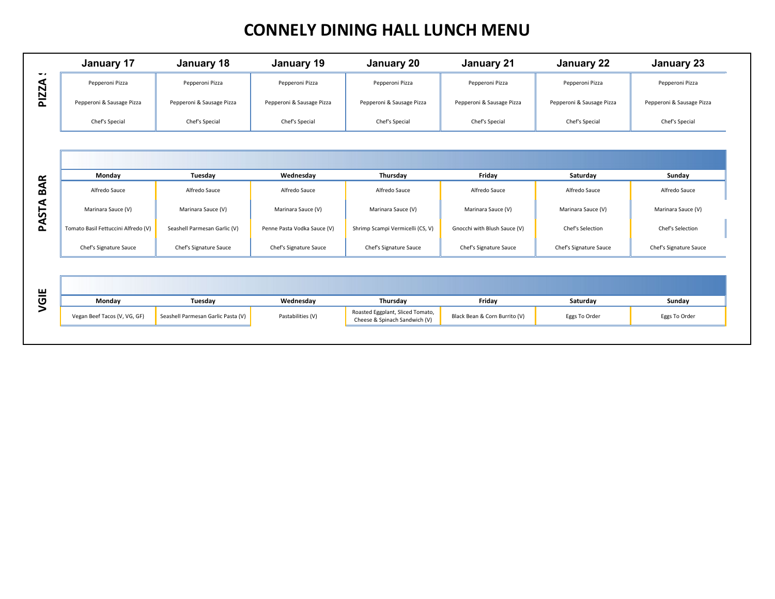## **CONNELY DINING HALL LUNCH MENU**

|                     | <b>January 17</b>                   | January 18                         | January 19                  | <b>January 20</b>                                                 | January 21                    | January 22                | <b>January 23</b>         |
|---------------------|-------------------------------------|------------------------------------|-----------------------------|-------------------------------------------------------------------|-------------------------------|---------------------------|---------------------------|
| - -<br><b>PIZZA</b> | Pepperoni Pizza                     | Pepperoni Pizza                    | Pepperoni Pizza             | Pepperoni Pizza                                                   | Pepperoni Pizza               | Pepperoni Pizza           | Pepperoni Pizza           |
|                     | Pepperoni & Sausage Pizza           | Pepperoni & Sausage Pizza          | Pepperoni & Sausage Pizza   | Pepperoni & Sausage Pizza                                         | Pepperoni & Sausage Pizza     | Pepperoni & Sausage Pizza | Pepperoni & Sausage Pizza |
|                     | Chef's Special                      | Chef's Special                     | Chef's Special              | Chef's Special                                                    | Chef's Special                | Chef's Special            | Chef's Special            |
|                     |                                     |                                    |                             |                                                                   |                               |                           |                           |
|                     |                                     |                                    |                             |                                                                   |                               |                           |                           |
|                     | Monday                              | Tuesday                            | Wednesday                   | Thursday                                                          | Friday                        | Saturday                  | Sunday                    |
| <b>BAR</b>          | Alfredo Sauce                       | Alfredo Sauce                      | Alfredo Sauce               | Alfredo Sauce                                                     | Alfredo Sauce                 | Alfredo Sauce             | Alfredo Sauce             |
| PASTA               | Marinara Sauce (V)                  | Marinara Sauce (V)                 | Marinara Sauce (V)          | Marinara Sauce (V)                                                | Marinara Sauce (V)            | Marinara Sauce (V)        | Marinara Sauce (V)        |
|                     | Tomato Basil Fettuccini Alfredo (V) | Seashell Parmesan Garlic (V)       | Penne Pasta Vodka Sauce (V) | Shrimp Scampi Vermicelli (CS, V)                                  | Gnocchi with Blush Sauce (V)  | Chef's Selection          | Chef's Selection          |
|                     | Chef's Signature Sauce              | Chef's Signature Sauce             | Chef's Signature Sauce      | Chef's Signature Sauce                                            | Chef's Signature Sauce        | Chef's Signature Sauce    | Chef's Signature Sauce    |
|                     |                                     |                                    |                             |                                                                   |                               |                           |                           |
|                     |                                     |                                    |                             |                                                                   |                               |                           |                           |
| VGIE                | Monday                              | Tuesday                            | Wednesday                   | Thursday                                                          | Friday                        | Saturday                  | Sunday                    |
|                     | Vegan Beef Tacos (V, VG, GF)        | Seashell Parmesan Garlic Pasta (V) | Pastabilities (V)           | Roasted Eggplant, Sliced Tomato,<br>Cheese & Spinach Sandwich (V) | Black Bean & Corn Burrito (V) | Eggs To Order             | Eggs To Order             |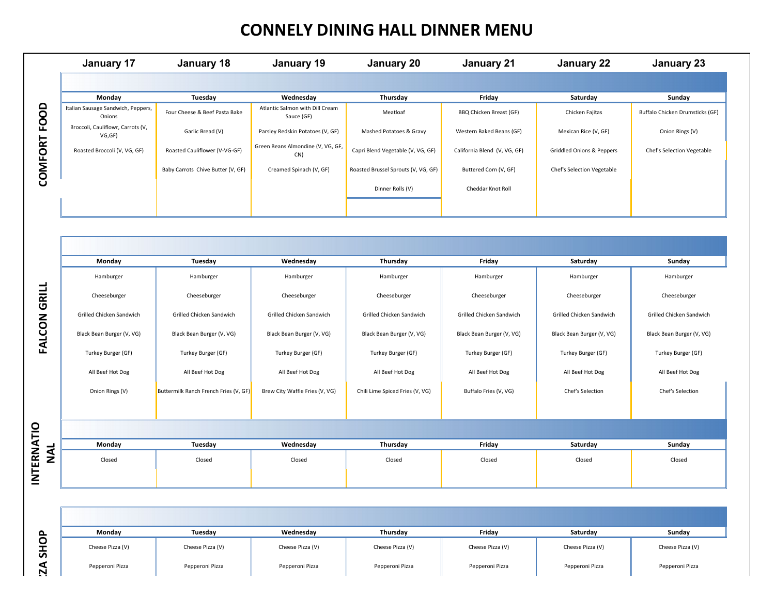#### **CONNELY DINING HALL DINNER MENU**

|        | January 17                                   | January 18                        | January 19                                    | January 20                          | January 21                   | January 22                        | January 23                      |
|--------|----------------------------------------------|-----------------------------------|-----------------------------------------------|-------------------------------------|------------------------------|-----------------------------------|---------------------------------|
|        |                                              |                                   |                                               |                                     |                              |                                   |                                 |
|        | Monday                                       | Tuesday                           | Wednesday                                     | Thursday                            | Friday                       | Saturday                          | Sunday                          |
|        | Italian Sausage Sandwich, Peppers,<br>Onions | Four Cheese & Beef Pasta Bake     | Atlantic Salmon with Dill Cream<br>Sauce (GF) | Meatloaf                            | BBQ Chicken Breast (GF)      | Chicken Fajitas                   | Buffalo Chicken Drumsticks (GF) |
|        | Broccoli, Cauliflowr, Carrots (V,<br>VG, GF) | Garlic Bread (V)                  | Parsley Redskin Potatoes (V, GF)              | Mashed Potatoes & Gravy             | Western Baked Beans (GF)     | Mexican Rice (V, GF)              | Onion Rings (V)                 |
| .<br>Õ | Roasted Broccoli (V, VG, GF)                 | Roasted Cauliflower (V-VG-GF)     | Green Beans Almondine (V, VG, GF,<br>CN)      | Capri Blend Vegetable (V, VG, GF)   | California Blend (V, VG, GF) | Griddled Onions & Peppers         | Chef's Selection Vegetable      |
| ξ      |                                              | Baby Carrots Chive Butter (V, GF) | Creamed Spinach (V, GF)                       | Roasted Brussel Sprouts (V, VG, GF) | Buttered Corn (V, GF)        | <b>Chef's Selection Vegetable</b> |                                 |
|        |                                              |                                   |                                               | Dinner Rolls (V)                    | Cheddar Knot Roll            |                                   |                                 |
|        |                                              |                                   |                                               |                                     |                              |                                   |                                 |

|                          | Italian Sausage Sandwich, Peppers,<br>Onions | Four Cheese & Beef Pasta Bake         | Atlantic Salmon with Dill Cream<br>Sauce (GF) | Meatloaf                            | BBQ Chicken Breast (GF)      | Chicken Fajitas                      | Buffalo Chicken Drumsticks (GF) |
|--------------------------|----------------------------------------------|---------------------------------------|-----------------------------------------------|-------------------------------------|------------------------------|--------------------------------------|---------------------------------|
|                          | Broccoli, Cauliflowr, Carrots (V,<br>VG, GF) | Garlic Bread (V)                      | Parsley Redskin Potatoes (V, GF)              | Mashed Potatoes & Gravy             | Western Baked Beans (GF)     | Mexican Rice (V, GF)                 | Onion Rings (V)                 |
| COMFORT FOOD             | Roasted Broccoli (V, VG, GF)                 | Roasted Cauliflower (V-VG-GF)         | Green Beans Almondine (V, VG, GF,<br>CN)      | Capri Blend Vegetable (V, VG, GF)   | California Blend (V, VG, GF) | <b>Griddled Onions &amp; Peppers</b> | Chef's Selection Vegetable      |
|                          |                                              | Baby Carrots Chive Butter (V, GF)     | Creamed Spinach (V, GF)                       | Roasted Brussel Sprouts (V, VG, GF) | Buttered Corn (V, GF)        | Chef's Selection Vegetable           |                                 |
|                          |                                              |                                       |                                               | Dinner Rolls (V)                    | Cheddar Knot Roll            |                                      |                                 |
|                          |                                              |                                       |                                               |                                     |                              |                                      |                                 |
|                          |                                              |                                       |                                               |                                     |                              |                                      |                                 |
|                          |                                              |                                       |                                               |                                     |                              |                                      |                                 |
|                          | Monday                                       | Tuesday                               | Wednesday                                     | Thursday                            | Friday                       | Saturday                             | Sunday                          |
|                          | Hamburger                                    | Hamburger                             | Hamburger                                     | Hamburger                           | Hamburger                    | Hamburger                            | Hamburger                       |
|                          | Cheeseburger                                 | Cheeseburger                          | Cheeseburger                                  | Cheeseburger                        | Cheeseburger                 | Cheeseburger                         | Cheeseburger                    |
| <b>FALCON GRILL</b>      | Grilled Chicken Sandwich                     | Grilled Chicken Sandwich              | Grilled Chicken Sandwich                      | Grilled Chicken Sandwich            | Grilled Chicken Sandwich     | Grilled Chicken Sandwich             | Grilled Chicken Sandwich        |
|                          | Black Bean Burger (V, VG)                    | Black Bean Burger (V, VG)             | Black Bean Burger (V, VG)                     | Black Bean Burger (V, VG)           | Black Bean Burger (V, VG)    | Black Bean Burger (V, VG)            | Black Bean Burger (V, VG)       |
|                          | Turkey Burger (GF)                           | Turkey Burger (GF)                    | Turkey Burger (GF)                            | Turkey Burger (GF)                  | Turkey Burger (GF)           | Turkey Burger (GF)                   | Turkey Burger (GF)              |
|                          | All Beef Hot Dog                             | All Beef Hot Dog                      | All Beef Hot Dog                              | All Beef Hot Dog                    | All Beef Hot Dog             | All Beef Hot Dog                     | All Beef Hot Dog                |
|                          | Onion Rings (V)                              | Buttermilk Ranch French Fries (V, GF) | Brew City Waffle Fries (V, VG)                | Chili Lime Spiced Fries (V, VG)     | Buffalo Fries (V, VG)        | Chef's Selection                     | Chef's Selection                |
|                          |                                              |                                       |                                               |                                     |                              |                                      |                                 |
|                          |                                              |                                       |                                               |                                     |                              |                                      |                                 |
|                          | Monday                                       | Tuesday                               | Wednesday                                     | Thursday                            | Friday                       | Saturday                             | Sunday                          |
| <b>INTERNATIO</b><br>NAL | Closed                                       | Closed                                | Closed                                        | Closed                              | Closed                       | Closed                               | Closed                          |
|                          |                                              |                                       |                                               |                                     |                              |                                      |                                 |
|                          |                                              |                                       |                                               |                                     |                              |                                      |                                 |
|                          | Monday                                       | Tuesday                               | Wednesday                                     | Thursday                            | Friday                       | Saturday                             | Sunday                          |
| <b>SHOP</b>              | Cheese Pizza (V)                             | Cheese Pizza (V)                      | Cheese Pizza (V)                              | Cheese Pizza (V)                    | Cheese Pizza (V)             | Cheese Pizza (V)                     | Cheese Pizza (V)                |
| 2A                       | Pepperoni Pizza                              | Pepperoni Pizza                       | Pepperoni Pizza                               | Pepperoni Pizza                     | Pepperoni Pizza              | Pepperoni Pizza                      | Pepperoni Pizza                 |

INTERNATIO

| Mondav           | Tuesdav          | Wednesdav        | Thursdav         | Fridav           | Saturdav         | Sunday           |
|------------------|------------------|------------------|------------------|------------------|------------------|------------------|
| Cheese Pizza (V) | Cheese Pizza (V) | Cheese Pizza (V) | Cheese Pizza (V) | Cheese Pizza (V) | Cheese Pizza (V) | Cheese Pizza (V) |
| Pepperoni Pizza  | Pepperoni Pizza  | Pepperoni Pizza  | Pepperoni Pizza  | Pepperoni Pizza  | Pepperoni Pizza  | Pepperoni Pizza  |